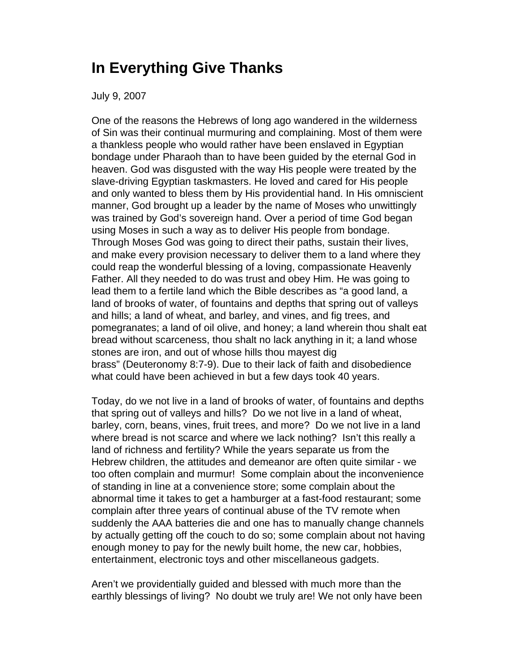## **In Everything Give Thanks**

July 9, 2007

One of the reasons the Hebrews of long ago wandered in the wilderness of Sin was their continual murmuring and complaining. Most of them were a thankless people who would rather have been enslaved in Egyptian bondage under Pharaoh than to have been guided by the eternal God in heaven. God was disgusted with the way His people were treated by the slave-driving Egyptian taskmasters. He loved and cared for His people and only wanted to bless them by His providential hand. In His omniscient manner, God brought up a leader by the name of Moses who unwittingly was trained by God's sovereign hand. Over a period of time God began using Moses in such a way as to deliver His people from bondage. Through Moses God was going to direct their paths, sustain their lives, and make every provision necessary to deliver them to a land where they could reap the wonderful blessing of a loving, compassionate Heavenly Father. All they needed to do was trust and obey Him. He was going to lead them to a fertile land which the Bible describes as "a good land, a land of brooks of water, of fountains and depths that spring out of valleys and hills; a land of wheat, and barley, and vines, and fig trees, and pomegranates; a land of oil olive, and honey; a land wherein thou shalt eat bread without scarceness, thou shalt no lack anything in it; a land whose stones are iron, and out of whose hills thou mayest dig brass" (Deuteronomy 8:7-9). Due to their lack of faith and disobedience what could have been achieved in but a few days took 40 years.

Today, do we not live in a land of brooks of water, of fountains and depths that spring out of valleys and hills? Do we not live in a land of wheat, barley, corn, beans, vines, fruit trees, and more? Do we not live in a land where bread is not scarce and where we lack nothing? Isn't this really a land of richness and fertility? While the years separate us from the Hebrew children, the attitudes and demeanor are often quite similar - we too often complain and murmur! Some complain about the inconvenience of standing in line at a convenience store; some complain about the abnormal time it takes to get a hamburger at a fast-food restaurant; some complain after three years of continual abuse of the TV remote when suddenly the AAA batteries die and one has to manually change channels by actually getting off the couch to do so; some complain about not having enough money to pay for the newly built home, the new car, hobbies, entertainment, electronic toys and other miscellaneous gadgets.

Aren't we providentially guided and blessed with much more than the earthly blessings of living? No doubt we truly are! We not only have been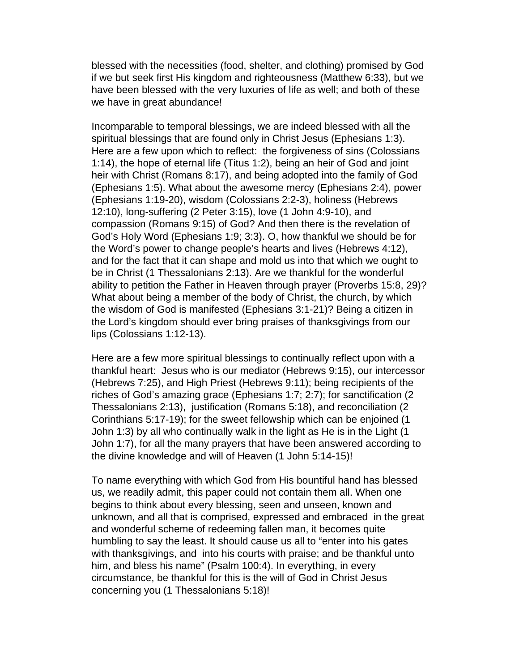blessed with the necessities (food, shelter, and clothing) promised by God if we but seek first His kingdom and righteousness (Matthew 6:33), but we have been blessed with the very luxuries of life as well; and both of these we have in great abundance!

Incomparable to temporal blessings, we are indeed blessed with all the spiritual blessings that are found only in Christ Jesus (Ephesians 1:3). Here are a few upon which to reflect: the forgiveness of sins (Colossians 1:14), the hope of eternal life (Titus 1:2), being an heir of God and joint heir with Christ (Romans 8:17), and being adopted into the family of God (Ephesians 1:5). What about the awesome mercy (Ephesians 2:4), power (Ephesians 1:19-20), wisdom (Colossians 2:2-3), holiness (Hebrews 12:10), long-suffering (2 Peter 3:15), love (1 John 4:9-10), and compassion (Romans 9:15) of God? And then there is the revelation of God's Holy Word (Ephesians 1:9; 3:3). O, how thankful we should be for the Word's power to change people's hearts and lives (Hebrews 4:12), and for the fact that it can shape and mold us into that which we ought to be in Christ (1 Thessalonians 2:13). Are we thankful for the wonderful ability to petition the Father in Heaven through prayer (Proverbs 15:8, 29)? What about being a member of the body of Christ, the church, by which the wisdom of God is manifested (Ephesians 3:1-21)? Being a citizen in the Lord's kingdom should ever bring praises of thanksgivings from our lips (Colossians 1:12-13).

Here are a few more spiritual blessings to continually reflect upon with a thankful heart: Jesus who is our mediator (Hebrews 9:15), our intercessor (Hebrews 7:25), and High Priest (Hebrews 9:11); being recipients of the riches of God's amazing grace (Ephesians 1:7; 2:7); for sanctification (2 Thessalonians 2:13), justification (Romans 5:18), and reconciliation (2 Corinthians 5:17-19); for the sweet fellowship which can be enjoined (1 John 1:3) by all who continually walk in the light as He is in the Light (1 John 1:7), for all the many prayers that have been answered according to the divine knowledge and will of Heaven (1 John 5:14-15)!

To name everything with which God from His bountiful hand has blessed us, we readily admit, this paper could not contain them all. When one begins to think about every blessing, seen and unseen, known and unknown, and all that is comprised, expressed and embraced in the great and wonderful scheme of redeeming fallen man, it becomes quite humbling to say the least. It should cause us all to "enter into his gates with thanksgivings, and into his courts with praise; and be thankful unto him, and bless his name" (Psalm 100:4). In everything, in every circumstance, be thankful for this is the will of God in Christ Jesus concerning you (1 Thessalonians 5:18)!